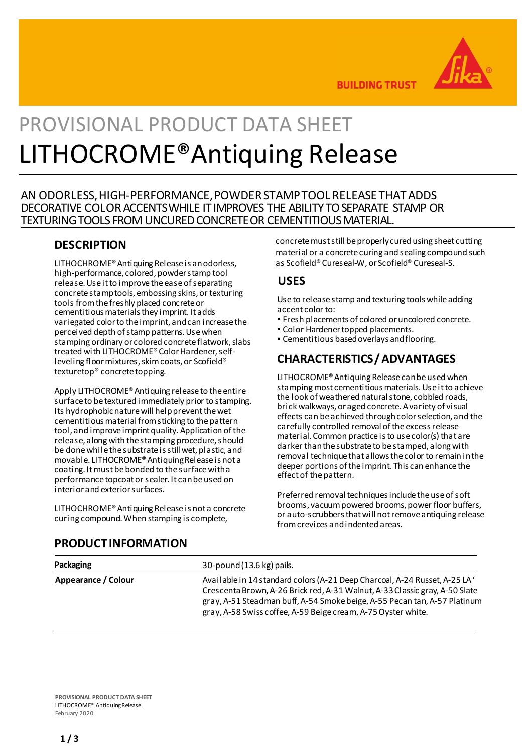

**BUILDING TRUST** 

# PROVISIONAL PRODUCT DATA SHEET LITHOCROME®Antiquing Release

## AN ODORLESS,HIGH-PERFORMANCE,POWDERSTAMPTOOL RELEASE THATADDS DECORATIVE COLOR ACCENTS WHILE IT IMPROVES THE ABILITY TO SEPARATE STAMP OR TEXTURING TOOLS FROM UNCURED CONCRETE OR CEMENTITIOUS MATERIAL.

## **DESCRIPTION**

LITHOCHROME® Antiquing Release is an odorless, high-performance, colored, powder stamp tool release. Use it to improve the ease of separating concrete stamp tools, embossing skins, or texturing tools from the freshly placed concrete or cementitious materials they imprint. It adds variegated color to the imprint, and can increase the perceived depth of stamp patterns. Use when stamping ordinary or colored concrete flatwork, slabs treated with LITHOCROME® Color Hardener, selfleveling floor mixtures, skim coats, or Scofield® texturetop® concrete topping.

Apply LITHOCROME® Antiquing release to the entire surface to be textured immediately prior to stamping. Its hydrophobic nature will help prevent the wet cementitious material from sticking to the pattern tool, and improve imprint quality. Application of the release, along with the stamping procedure, should be done while the substrate is still wet, plastic, and movable. LITHOCROME® Antiquing Release is not a coating. It must be bonded to the surface with a performance topcoat or sealer. It can be used on interior and exterior surfaces.

LITHOCHROME® Antiquing Release is not a concrete curing compound. When stamping is complete,

concrete must still be properly cured using sheet cutting material or a concrete curing and sealing compound such as Scofield® Cureseal-W, or Scofield® Cureseal-S.

## **USES**

Useto releasestamp and texturing tools while adding accent color to:

- Fresh placements of colored oruncolored concrete.
- **Color Hardener topped placements.**
- Cementitious basedoverlays andflooring.

# **CHARACTERISTICS/ADVANTAGES**

LITHOCROME® Antiquing Release can be used when stamping most cementitious materials. Use it to achieve the look of weathered natural stone, cobbled roads, brick walkways, or aged concrete. A variety of visual effects can be achieved through color selection, and the carefully controlled removal of the excess release material. Common practice is to use color(s) that are darker than the substrate to be stamped, along with removal technique that allows the color to remain in the deeper portions of the imprint. This can enhance the effect of the pattern.

Preferred removal techniques include the use of soft brooms, vacuum powered brooms, power floor buffers, or auto-scrubbers that will not remove antiquing release from crevices and indented areas.

| Packaging           | 30-pound (13.6 kg) pails.                                                                                                                                                                                                                                                                              |
|---------------------|--------------------------------------------------------------------------------------------------------------------------------------------------------------------------------------------------------------------------------------------------------------------------------------------------------|
| Appearance / Colour | Available in 14 standard colors (A-21 Deep Charcoal, A-24 Russet, A-25 LA<br>Crescenta Brown, A-26 Brick red, A-31 Walnut, A-33 Classic gray, A-50 Slate<br>gray, A-51 Steadman buff, A-54 Smoke beige, A-55 Pecan tan, A-57 Platinum<br>gray, A-58 Swiss coffee, A-59 Beige cream, A-75 Oyster white. |

## **PRODUCTINFORMATION**

**PROVISIONAL PRODUCT DATA SHEET** LITHOCROME® AntiquingRelease February 2020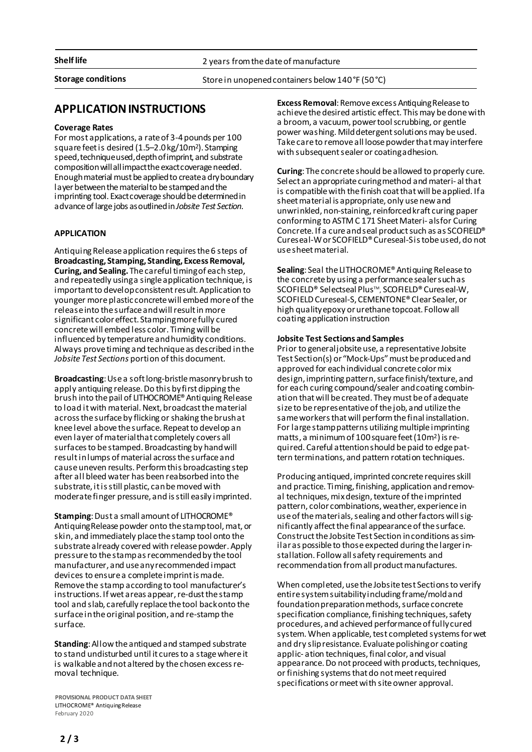**Shelf life** 2 years from the date of manufacture

**Storage conditions** Storein unopenedcontainers below140°F (50°C)

## **APPLICATIONINSTRUCTIONS**

## **Coverage Rates**

For most applications, a rateof 3-4pounds per 100 square feetis desired (1.5–2.0kg/10m2). Stamping speed, technique used, depth of imprint, and substrate composition will all impact the exact coverage needed. Enough material must be applied to create a dry boundary layer between the material to be stamped and the imprinting tool. Exact coverage should be determined in advance of large jobs as outlined in *Jobsite Test Section*.

## **APPLICATION**

Antiquing Release application requires the 6 steps of **Broadcasting, Stamping, Standing, Excess Removal, Curing, and Sealing.** The careful timing of each step, and repeatedly using a single application technique, is important to develop consistent result. Application to younger more plastic concrete will embed more of the release into the surface and will result in more significant color effect. Stamping more fully cured concrete will embed less color. Timing will be influenced by temperature and humidity conditions. Always prove timing and technique as described in the *Jobsite Test Sections* portion of this document.

**Broadcasting**:Usea softlong-bristlemasonrybrush to apply antiquing release.Do this byfirstdipping the brush into thepail of LITHOCROME® Antiquing Release to load it with material. Next, broadcast the material across the surface by flicking or shaking the brush at knee level above the surface. Repeat to develop an even layer of material that completely covers all surfaces to be stamped. Broadcasting by hand will resultinlumps ofmaterial acrossthesurfaceand cause uneven results. Perform this broadcasting step after all bleed water has been reabsorbed into the substrate, it is still plastic, can be moved with moderate finger pressure, and is still easily imprinted.

**Stamping**: Dust a small amount of LITHOCROME<sup>®</sup> Antiquing Release powder onto the stamptool, mat, or skin, and immediately placethestamp tool onto the substrate already covered with release powder. Apply pressure to thestamp as recommended by the tool manufacturer, and use any recommended impact devices to ensure a complete imprint is made. Remove the stamp according to tool manufacturer's instructions. If wet areas appear, re-dust the stamp tool and slab, carefully replace the tool back onto the surface in the original position, and re-stamp the surface.

**Standing:** Allow the antiqued and stamped substrate to stand undisturbed until it cures to a stage where it is walkable andnot altered by thechosen excessremoval technique.

**PROVISIONAL PRODUCT DATA SHEET** LITHOCROME® AntiquingRelease February 2020

**Excess Removal:** Remove excess Antiquing Release to achieve the desired artistic effect. This may be done with a broom, a vacuum, power tool scrubbing, or gentle power washing. Mild detergent solutions may be used. Take care to remove all loose powder that may interfere with subsequent sealer or coating a dhesion.

**Curing**: The concrete should be allowed to properly cure. Select an appropriate curing method and materi-al that is compatible with the finish coat that will be applied. If a sheet material is appropriate, only use new and unwrinkled, non-staining, reinforced kraft curing paper conforming to ASTM C 171 Sheet Materi- alsfor Curing Concrete. If a cure and seal product such as as SCOFIELD® Cureseal-W or SCOFIELD® Cureseal-S is tobe used, do not use sheet material.

**Sealing**: Seal the LITHOCROME® Antiquing Release to the concrete by using a performance sealer such as SCOFIELD® Selectseal PlusTM , SCOFIELD® Cureseal-W, SCOFIELD Cureseal-S, CEMENTONE® Clear Sealer, or high quality epoxy or urethane topcoat. Follow all coating application instruction

#### **Jobsite Test Sections and Samples**

Prior to general jobsite use, a representative Jobsite Test Section(s) or "Mock-Ups" must be produced and approved for each individual concrete color mix design, imprinting pattern, surface finish/texture, and for each curing compound/sealer andcoating combination that will be created. They must be of adequate size to be representative of the job, and utilize the sameworkersthatwill performthefinal installation. For large stamp patterns utilizing multiple imprinting matts, a minimum of 100 square feet (10m<sup>2</sup>) is required. Careful attentionshould be paid to edge pattern terminations, and pattern rotation techniques.

Producing antiqued, imprinted concrete requires skill and practice. Timing, finishing, application and removal techniques, mix design, texture of the imprinted pattern, color combinations, weather, experience in use of the materials, sealing and other factors will significantly affect the final appearance of the surface. Construct the Jobsite Test Section in conditions as similaras possibleto those expected during thelargerinstallation. Follow all safety requirements and recommendation from all product manufactures.

When completed, use the Jobsite test Sections to verify entire system suitability including frame/mold and foundation preparation methods, surface concrete specification compliance, finishing techniques, safety procedures, and achieved performance of fully cured system. When applicable, test completed systems for wet and dry slip resistance. Evaluate polishing or coating applic- ation techniques, final color, and visual appearance. Do not proceed with products, techniques, or finishing systems that do not meet required specifications ormeetwith siteowner approval.